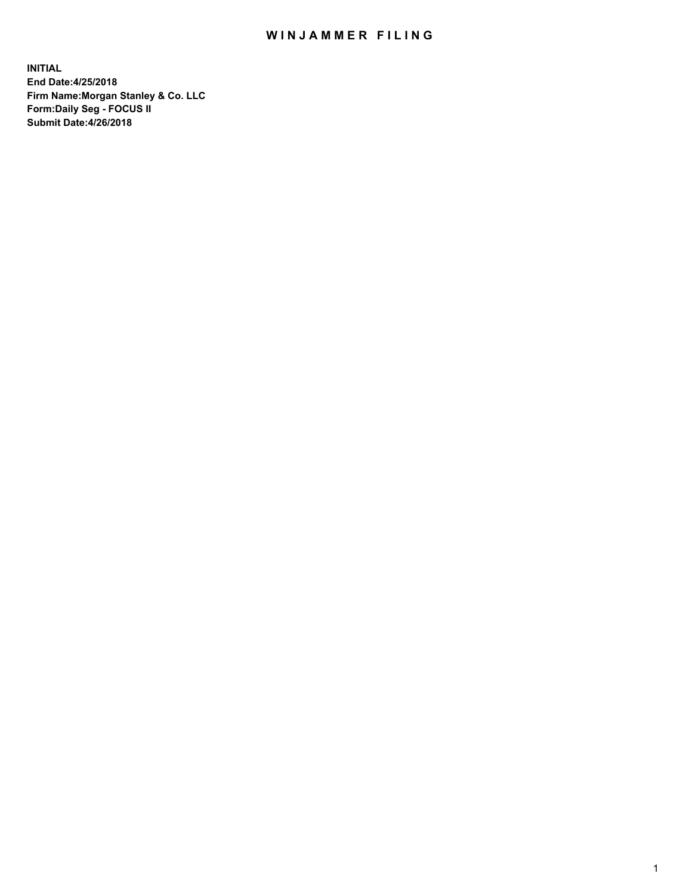## WIN JAMMER FILING

**INITIAL End Date:4/25/2018 Firm Name:Morgan Stanley & Co. LLC Form:Daily Seg - FOCUS II Submit Date:4/26/2018**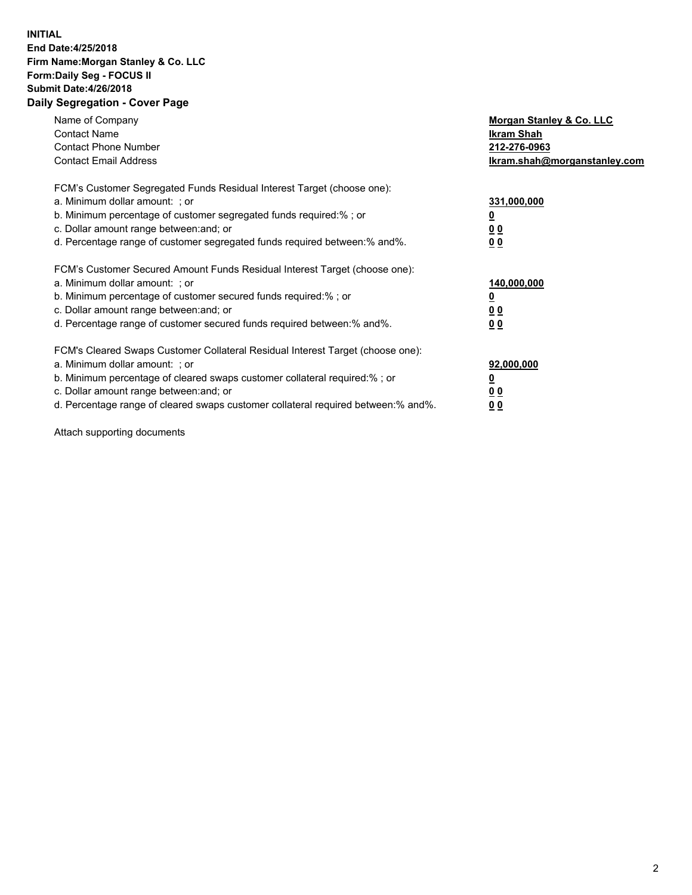## **INITIAL End Date:4/25/2018 Firm Name:Morgan Stanley & Co. LLC Form:Daily Seg - FOCUS II Submit Date:4/26/2018 Daily Segregation - Cover Page**

| Name of Company<br><b>Contact Name</b><br><b>Contact Phone Number</b><br><b>Contact Email Address</b>                                                                                                                                                                                                                          | Morgan Stanley & Co. LLC<br>Ikram Shah<br>212-276-0963<br>lkram.shah@morganstanley.com |
|--------------------------------------------------------------------------------------------------------------------------------------------------------------------------------------------------------------------------------------------------------------------------------------------------------------------------------|----------------------------------------------------------------------------------------|
| FCM's Customer Segregated Funds Residual Interest Target (choose one):<br>a. Minimum dollar amount: ; or<br>b. Minimum percentage of customer segregated funds required:%; or<br>c. Dollar amount range between: and; or<br>d. Percentage range of customer segregated funds required between:% and%.                          | 331,000,000<br><u>0</u><br>0 <sub>0</sub><br>00                                        |
| FCM's Customer Secured Amount Funds Residual Interest Target (choose one):<br>a. Minimum dollar amount: ; or<br>b. Minimum percentage of customer secured funds required:%; or<br>c. Dollar amount range between: and; or<br>d. Percentage range of customer secured funds required between:% and%.                            | 140,000,000<br>0 <sub>0</sub><br>0 <sub>0</sub>                                        |
| FCM's Cleared Swaps Customer Collateral Residual Interest Target (choose one):<br>a. Minimum dollar amount: ; or<br>b. Minimum percentage of cleared swaps customer collateral required:% ; or<br>c. Dollar amount range between: and; or<br>d. Percentage range of cleared swaps customer collateral required between:% and%. | 92,000,000<br>0 <sub>0</sub><br><u>00</u>                                              |

Attach supporting documents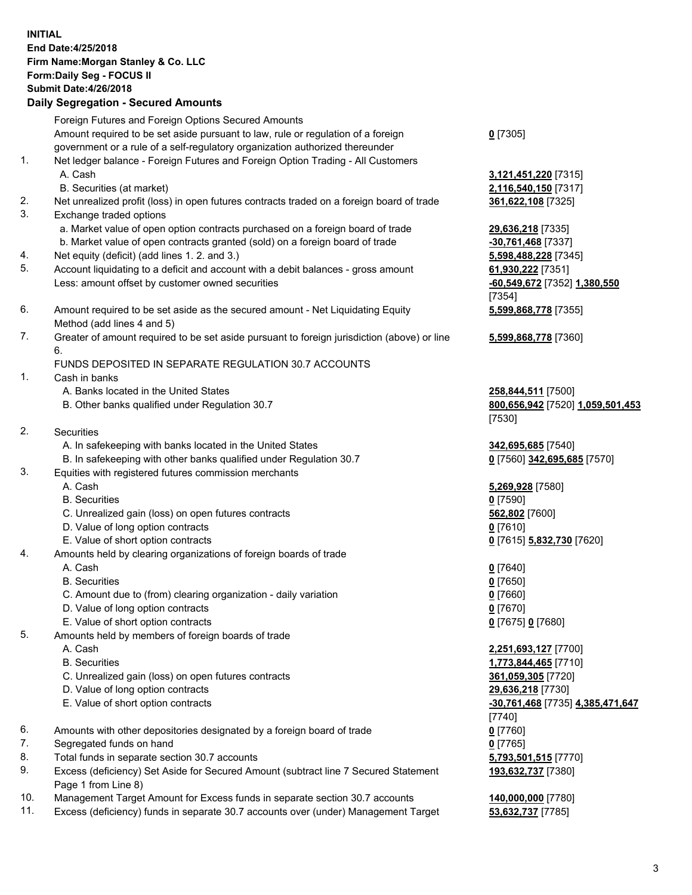## **INITIAL End Date:4/25/2018 Firm Name:Morgan Stanley & Co. LLC Form:Daily Seg - FOCUS II Submit Date:4/26/2018 Daily Segregation - Secured Amounts**

Foreign Futures and Foreign Options Secured Amounts Amount required to be set aside pursuant to law, rule or regulation of a foreign

- government or a rule of a self-regulatory organization authorized thereunder
- 1. Net ledger balance Foreign Futures and Foreign Option Trading All Customers A. Cash **3,121,451,220** [7315]
	- B. Securities (at market) **2,116,540,150** [7317]
- 2. Net unrealized profit (loss) in open futures contracts traded on a foreign board of trade **361,622,108** [7325]
- 3. Exchange traded options
	- a. Market value of open option contracts purchased on a foreign board of trade **29,636,218** [7335]
	- b. Market value of open contracts granted (sold) on a foreign board of trade **-30,761,468** [7337]
- 4. Net equity (deficit) (add lines 1. 2. and 3.) **5,598,488,228** [7345]
- 5. Account liquidating to a deficit and account with a debit balances gross amount **61,930,222** [7351] Less: amount offset by customer owned securities **-60,549,672** [7352] **1,380,550**
- 6. Amount required to be set aside as the secured amount Net Liquidating Equity Method (add lines 4 and 5)
- 7. Greater of amount required to be set aside pursuant to foreign jurisdiction (above) or line 6.

## FUNDS DEPOSITED IN SEPARATE REGULATION 30.7 ACCOUNTS

- 1. Cash in banks
	- A. Banks located in the United States **258,844,511** [7500]
	- B. Other banks qualified under Regulation 30.7 **800,656,942** [7520] **1,059,501,453**
- 2. Securities
	- A. In safekeeping with banks located in the United States **342,695,685** [7540]
	- B. In safekeeping with other banks qualified under Regulation 30.7 **0** [7560] **342,695,685** [7570]
- 3. Equities with registered futures commission merchants
	-
	-
	- C. Unrealized gain (loss) on open futures contracts **562,802** [7600]
	- D. Value of long option contracts **0** [7610]
- E. Value of short option contracts **0** [7615] **5,832,730** [7620]
- 4. Amounts held by clearing organizations of foreign boards of trade
	-
	-
	- C. Amount due to (from) clearing organization daily variation **0** [7660]
	- D. Value of long option contracts **0** [7670]
	- E. Value of short option contracts **0** [7675] **0** [7680]
- 5. Amounts held by members of foreign boards of trade
	-
	-
	- C. Unrealized gain (loss) on open futures contracts **361,059,305** [7720]
	- D. Value of long option contracts **29,636,218** [7730]
	- E. Value of short option contracts **-30,761,468** [7735] **4,385,471,647**
- 6. Amounts with other depositories designated by a foreign board of trade **0** [7760]
- 7. Segregated funds on hand **0** [7765]
- 8. Total funds in separate section 30.7 accounts **5,793,501,515** [7770]
- 9. Excess (deficiency) Set Aside for Secured Amount (subtract line 7 Secured Statement Page 1 from Line 8)
- 10. Management Target Amount for Excess funds in separate section 30.7 accounts **140,000,000** [7780]
- 11. Excess (deficiency) funds in separate 30.7 accounts over (under) Management Target **53,632,737** [7785]

**0** [7305]

[7354] **5,599,868,778** [7355]

**5,599,868,778** [7360]

[7530]

 A. Cash **5,269,928** [7580] B. Securities **0** [7590]

 A. Cash **0** [7640] B. Securities **0** [7650]

 A. Cash **2,251,693,127** [7700] B. Securities **1,773,844,465** [7710] [7740] **193,632,737** [7380]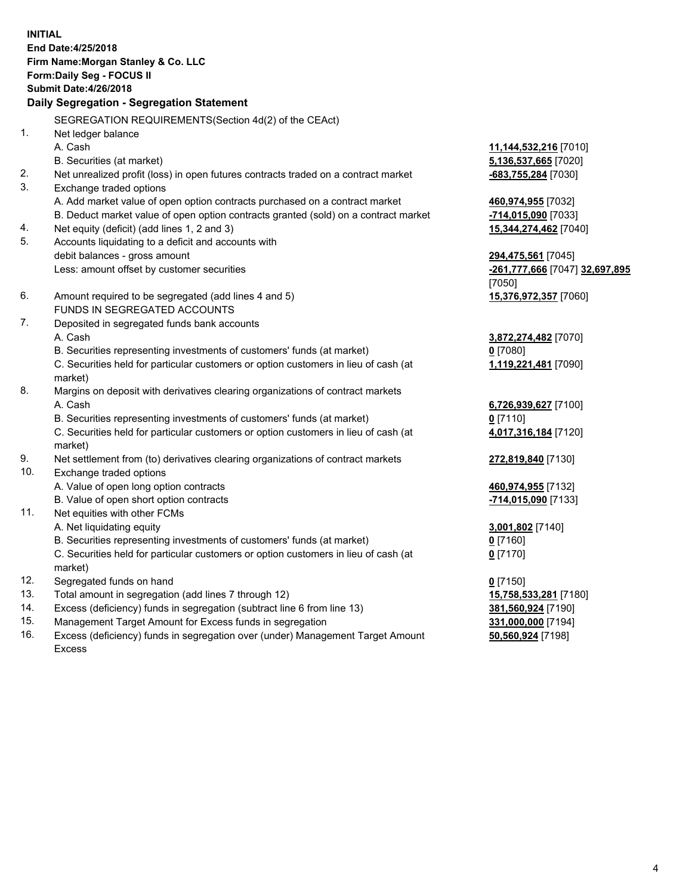**INITIAL End Date:4/25/2018 Firm Name:Morgan Stanley & Co. LLC Form:Daily Seg - FOCUS II Submit Date:4/26/2018 Daily Segregation - Segregation Statement** SEGREGATION REQUIREMENTS(Section 4d(2) of the CEAct) 1. Net ledger balance A. Cash **11,144,532,216** [7010] B. Securities (at market) **5,136,537,665** [7020] 2. Net unrealized profit (loss) in open futures contracts traded on a contract market **-683,755,284** [7030] 3. Exchange traded options A. Add market value of open option contracts purchased on a contract market **460,974,955** [7032] B. Deduct market value of open option contracts granted (sold) on a contract market **-714,015,090** [7033] 4. Net equity (deficit) (add lines 1, 2 and 3) **15,344,274,462** [7040] 5. Accounts liquidating to a deficit and accounts with debit balances - gross amount **294,475,561** [7045] Less: amount offset by customer securities **-261,777,666** [7047] **32,697,895** [7050] 6. Amount required to be segregated (add lines 4 and 5) **15,376,972,357** [7060] FUNDS IN SEGREGATED ACCOUNTS 7. Deposited in segregated funds bank accounts A. Cash **3,872,274,482** [7070] B. Securities representing investments of customers' funds (at market) **0** [7080] C. Securities held for particular customers or option customers in lieu of cash (at market) **1,119,221,481** [7090] 8. Margins on deposit with derivatives clearing organizations of contract markets A. Cash **6,726,939,627** [7100] B. Securities representing investments of customers' funds (at market) **0** [7110] C. Securities held for particular customers or option customers in lieu of cash (at market) **4,017,316,184** [7120] 9. Net settlement from (to) derivatives clearing organizations of contract markets **272,819,840** [7130] 10. Exchange traded options A. Value of open long option contracts **460,974,955** [7132] B. Value of open short option contracts **-714,015,090** [7133] 11. Net equities with other FCMs A. Net liquidating equity **3,001,802** [7140] B. Securities representing investments of customers' funds (at market) **0** [7160] C. Securities held for particular customers or option customers in lieu of cash (at market) **0** [7170] 12. Segregated funds on hand **0** [7150] 13. Total amount in segregation (add lines 7 through 12) **15,758,533,281** [7180] 14. Excess (deficiency) funds in segregation (subtract line 6 from line 13) **381,560,924** [7190]

- 15. Management Target Amount for Excess funds in segregation **331,000,000** [7194]
- 16. Excess (deficiency) funds in segregation over (under) Management Target Amount Excess

**50,560,924** [7198]